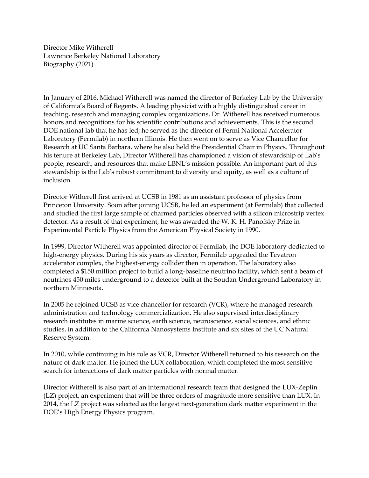Director Mike Witherell Lawrence Berkeley National Laboratory Biography (2021)

In January of 2016, Michael Witherell was named the director of Berkeley Lab by the University of California's Board of Regents. A leading physicist with a highly distinguished career in teaching, research and managing complex organizations, Dr. Witherell has received numerous honors and recognitions for his scientific contributions and achievements. This is the second DOE national lab that he has led; he served as the director of Fermi National Accelerator Laboratory (Fermilab) in northern Illinois. He then went on to serve as Vice Chancellor for Research at UC Santa Barbara, where he also held the Presidential Chair in Physics. Throughout his tenure at Berkeley Lab, Director Witherell has championed a vision of stewardship of Lab's people, research, and resources that make LBNL's mission possible. An important part of this stewardship is the Lab's robust commitment to diversity and equity, as well as a culture of inclusion.

Director Witherell first arrived at UCSB in 1981 as an assistant professor of physics from Princeton University. Soon after joining UCSB, he led an experiment (at Fermilab) that collected and studied the first large sample of charmed particles observed with a silicon microstrip vertex detector. As a result of that experiment, he was awarded the W. K. H. Panofsky Prize in Experimental Particle Physics from the American Physical Society in 1990.

In 1999, Director Witherell was appointed director of Fermilab, the DOE laboratory dedicated to high-energy physics. During his six years as director, Fermilab upgraded the Tevatron accelerator complex, the highest-energy collider then in operation. The laboratory also completed a \$150 million project to build a long-baseline neutrino facility, which sent a beam of neutrinos 450 miles underground to a detector built at the Soudan Underground Laboratory in northern Minnesota.

In 2005 he rejoined UCSB as vice chancellor for research (VCR), where he managed research administration and technology commercialization. He also supervised interdisciplinary research institutes in marine science, earth science, neuroscience, social sciences, and ethnic studies, in addition to the California Nanosystems Institute and six sites of the UC Natural Reserve System.

In 2010, while continuing in his role as VCR, Director Witherell returned to his research on the nature of dark matter. He joined the LUX collaboration, which completed the most sensitive search for interactions of dark matter particles with normal matter.

Director Witherell is also part of an international research team that designed the LUX-Zeplin (LZ) project, an experiment that will be three orders of magnitude more sensitive than LUX. In 2014, the LZ project was selected as the largest next-generation dark matter experiment in the DOE's High Energy Physics program.